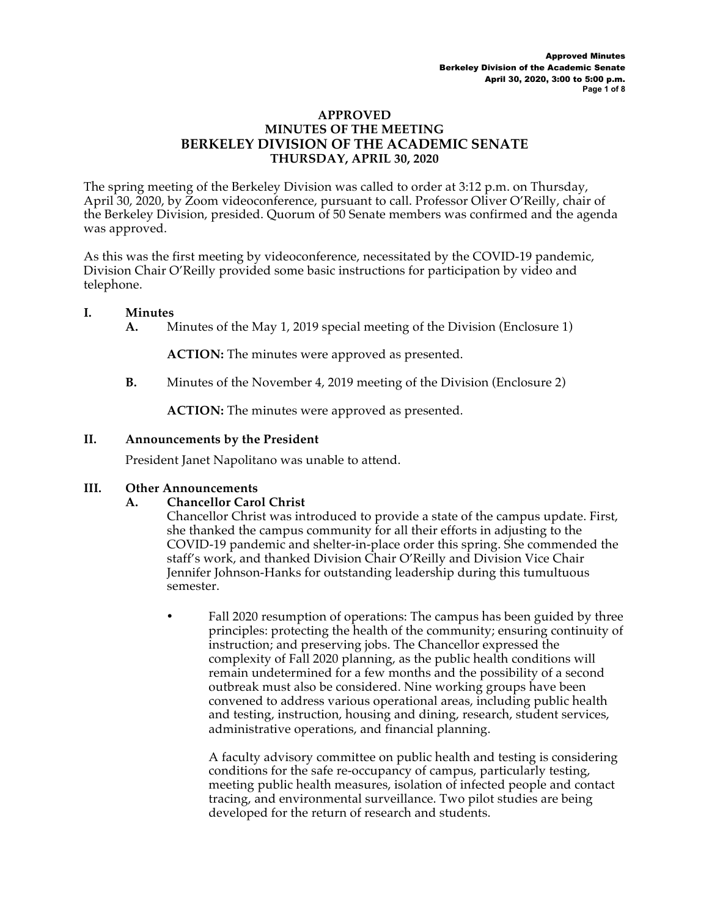#### **APPROVED MINUTES OF THE MEETING BERKELEY DIVISION OF THE ACADEMIC SENATE THURSDAY, APRIL 30, 2020**

The spring meeting of the Berkeley Division was called to order at 3:12 p.m. on Thursday, April 30, 2020, by Zoom videoconference, pursuant to call. Professor Oliver O'Reilly, chair of the Berkeley Division, presided. Quorum of 50 Senate members was confirmed and the agenda was approved.

As this was the first meeting by videoconference, necessitated by the COVID-19 pandemic, Division Chair O'Reilly provided some basic instructions for participation by video and telephone.

### **I. Minutes**

**A.** Minutes of the May 1, 2019 special meeting of the Division (Enclosure 1)

**ACTION:** The minutes were approved as presented.

**B.** Minutes of the November 4, 2019 meeting of the Division (Enclosure 2)

**ACTION:** The minutes were approved as presented.

### **II. Announcements by the President**

President Janet Napolitano was unable to attend.

### **III. Other Announcements**

### **A. Chancellor Carol Christ**

Chancellor Christ was introduced to provide a state of the campus update. First, she thanked the campus community for all their efforts in adjusting to the COVID-19 pandemic and shelter-in-place order this spring. She commended the staff's work, and thanked Division Chair O'Reilly and Division Vice Chair Jennifer Johnson-Hanks for outstanding leadership during this tumultuous semester.

Fall 2020 resumption of operations: The campus has been guided by three principles: protecting the health of the community; ensuring continuity of instruction; and preserving jobs. The Chancellor expressed the complexity of Fall 2020 planning, as the public health conditions will remain undetermined for a few months and the possibility of a second outbreak must also be considered. Nine working groups have been convened to address various operational areas, including public health and testing, instruction, housing and dining, research, student services, administrative operations, and financial planning.

A faculty advisory committee on public health and testing is considering conditions for the safe re-occupancy of campus, particularly testing, meeting public health measures, isolation of infected people and contact tracing, and environmental surveillance. Two pilot studies are being developed for the return of research and students.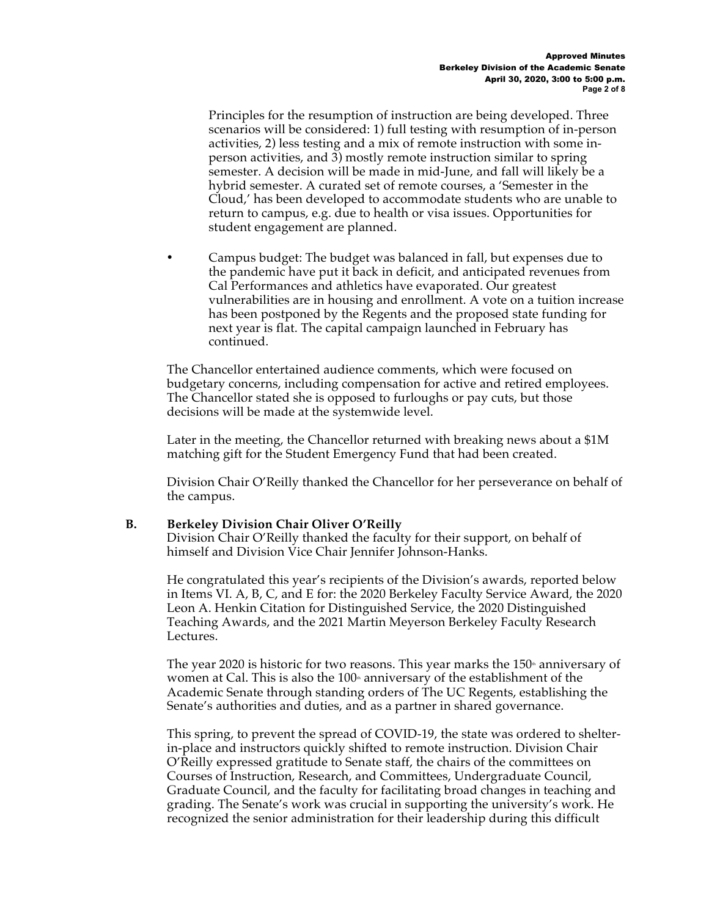Principles for the resumption of instruction are being developed. Three scenarios will be considered: 1) full testing with resumption of in-person activities, 2) less testing and a mix of remote instruction with some inperson activities, and 3) mostly remote instruction similar to spring semester. A decision will be made in mid-June, and fall will likely be a hybrid semester. A curated set of remote courses, a 'Semester in the Cloud,' has been developed to accommodate students who are unable to return to campus, e.g. due to health or visa issues. Opportunities for student engagement are planned.

• Campus budget: The budget was balanced in fall, but expenses due to the pandemic have put it back in deficit, and anticipated revenues from Cal Performances and athletics have evaporated. Our greatest vulnerabilities are in housing and enrollment. A vote on a tuition increase has been postponed by the Regents and the proposed state funding for next year is flat. The capital campaign launched in February has continued.

The Chancellor entertained audience comments, which were focused on budgetary concerns, including compensation for active and retired employees. The Chancellor stated she is opposed to furloughs or pay cuts, but those decisions will be made at the systemwide level.

Later in the meeting, the Chancellor returned with breaking news about a \$1M matching gift for the Student Emergency Fund that had been created.

Division Chair O'Reilly thanked the Chancellor for her perseverance on behalf of the campus.

### **B. Berkeley Division Chair Oliver O'Reilly**

Division Chair O'Reilly thanked the faculty for their support, on behalf of himself and Division Vice Chair Jennifer Johnson-Hanks.

He congratulated this year's recipients of the Division's awards, reported below in Items VI. A, B, C, and E for: the 2020 Berkeley Faculty Service Award, the 2020 Leon A. Henkin Citation for Distinguished Service, the 2020 Distinguished Teaching Awards, and the 2021 Martin Meyerson Berkeley Faculty Research Lectures.

The year 2020 is historic for two reasons. This year marks the  $150<sup>*</sup>$  anniversary of women at Cal. This is also the  $100*$  anniversary of the establishment of the Academic Senate through standing orders of The UC Regents, establishing the Senate's authorities and duties, and as a partner in shared governance.

This spring, to prevent the spread of COVID-19, the state was ordered to shelterin-place and instructors quickly shifted to remote instruction. Division Chair O'Reilly expressed gratitude to Senate staff, the chairs of the committees on Courses of Instruction, Research, and Committees, Undergraduate Council, Graduate Council, and the faculty for facilitating broad changes in teaching and grading. The Senate's work was crucial in supporting the university's work. He recognized the senior administration for their leadership during this difficult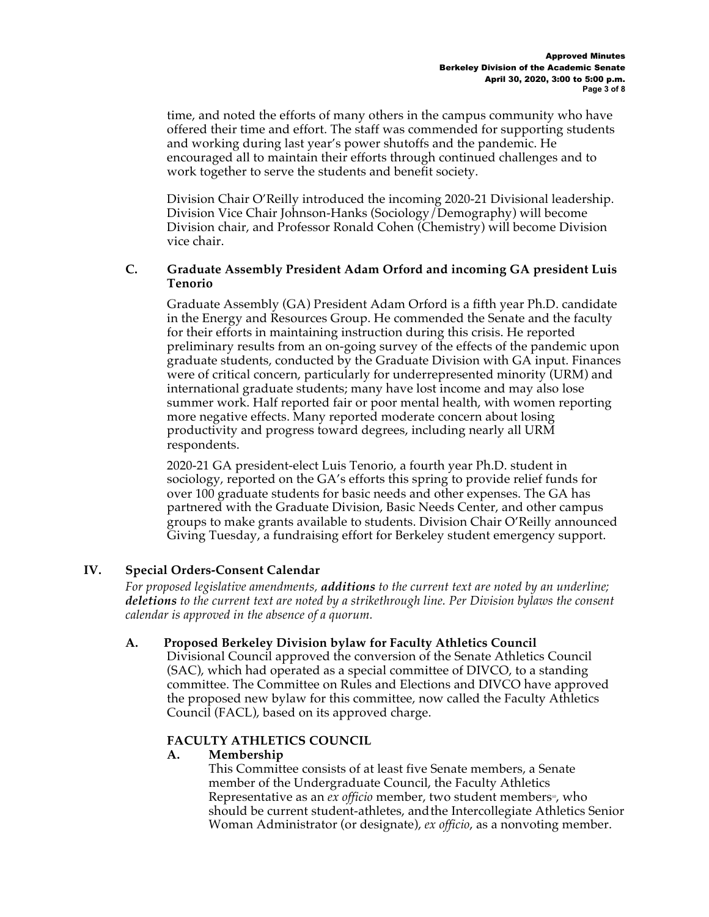time, and noted the efforts of many others in the campus community who have offered their time and effort. The staff was commended for supporting students and working during last year's power shutoffs and the pandemic. He encouraged all to maintain their efforts through continued challenges and to work together to serve the students and benefit society.

Division Chair O'Reilly introduced the incoming 2020-21 Divisional leadership. Division Vice Chair Johnson-Hanks (Sociology/Demography) will become Division chair, and Professor Ronald Cohen (Chemistry) will become Division vice chair.

## **C. Graduate Assembly President Adam Orford and incoming GA president Luis Tenorio**

Graduate Assembly (GA) President Adam Orford is a fifth year Ph.D. candidate in the Energy and Resources Group. He commended the Senate and the faculty for their efforts in maintaining instruction during this crisis. He reported preliminary results from an on-going survey of the effects of the pandemic upon graduate students, conducted by the Graduate Division with GA input. Finances were of critical concern, particularly for underrepresented minority (URM) and international graduate students; many have lost income and may also lose summer work. Half reported fair or poor mental health, with women reporting more negative effects. Many reported moderate concern about losing productivity and progress toward degrees, including nearly all URM respondents.

2020-21 GA president-elect Luis Tenorio, a fourth year Ph.D. student in sociology, reported on the GA's efforts this spring to provide relief funds for over 100 graduate students for basic needs and other expenses. The GA has partnered with the Graduate Division, Basic Needs Center, and other campus groups to make grants available to students. Division Chair O'Reilly announced Giving Tuesday, a fundraising effort for Berkeley student emergency support.

# **IV. Special Orders-Consent Calendar**

*For proposed legislative amendments, additions to the current text are noted by an underline; deletions to the current text are noted by a strikethrough line. Per Division bylaws the consent calendar is approved in the absence of a quorum.*

# **A. Proposed Berkeley Division bylaw for Faculty Athletics Council**

Divisional Council approved the conversion of the Senate Athletics Council (SAC), which had operated as a special committee of DIVCO, to a standing committee. The Committee on Rules and Elections and DIVCO have approved the proposed new bylaw for this committee, now called the Faculty Athletics Council (FACL), based on its approved charge.

# **FACULTY ATHLETICS COUNCIL**

### **A. Membership**

This Committee consists of at least five Senate members, a Senate member of the Undergraduate Council, the Faculty Athletics Representative as an *ex officio* member, two student members<sup>®</sup>, who should be current student-athletes, andthe Intercollegiate Athletics Senior Woman Administrator (or designate), *ex officio*, as a nonvoting member.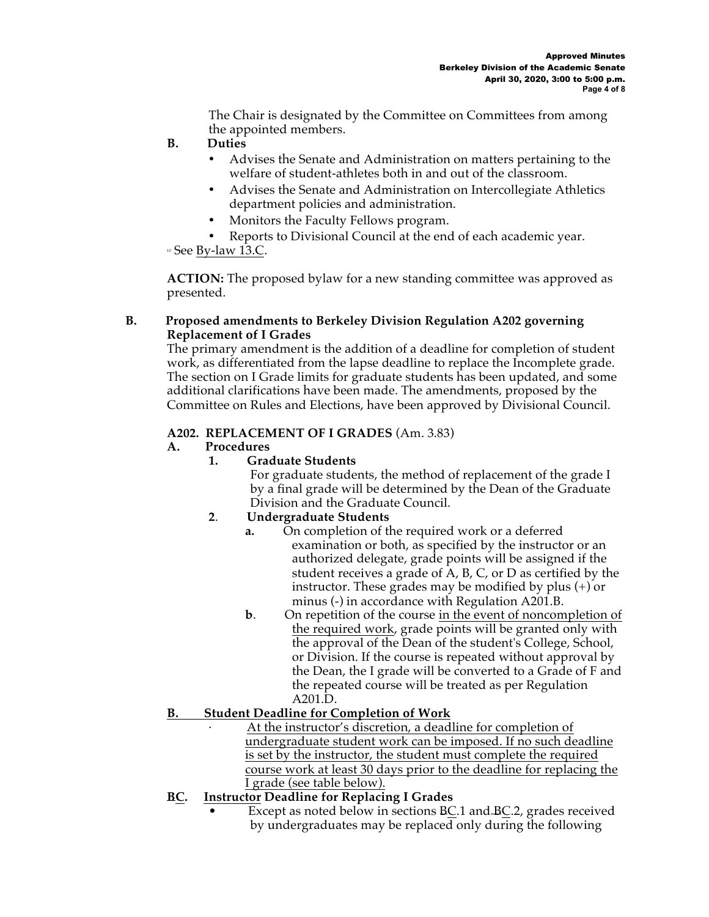The Chair is designated by the Committee on Committees from among the appointed members.

- **B. Duties**
	- Advises the Senate and Administration on matters pertaining to the welfare of student-athletes both in and out of the classroom.
	- Advises the Senate and Administration on Intercollegiate Athletics department policies and administration.
	- Monitors the Faculty Fellows program.
- Reports to Divisional Council at the end of each academic year.<br>
<sup>■</sup> See By-law 13.C.

**ACTION:** The proposed bylaw for a new standing committee was approved as presented.

## **B. Proposed amendments to Berkeley Division Regulation A202 governing Replacement of I Grades**

The primary amendment is the addition of a deadline for completion of student work, as differentiated from the lapse deadline to replace the Incomplete grade. The section on I Grade limits for graduate students has been updated, and some additional clarifications have been made. The amendments, proposed by the Committee on Rules and Elections, have been approved by Divisional Council.

# **A202. REPLACEMENT OF I GRADES** (Am. 3.83)

# **A. Procedures**

# **1. Graduate Students**

For graduate students, the method of replacement of the grade I by a final grade will be determined by the Dean of the Graduate Division and the Graduate Council.

# **2**. **Undergraduate Students**

- **a.** On completion of the required work or a deferred examination or both, as specified by the instructor or an authorized delegate, grade points will be assigned if the student receives a grade of A, B, C, or D as certified by the instructor. These grades may be modified by plus (+) or minus (-) in accordance with Regulation A201.B.
- **b**. On repetition of the course in the event of noncompletion of the required work, grade points will be granted only with the approval of the Dean of the student's College, School, or Division. If the course is repeated without approval by the Dean, the I grade will be converted to a Grade of F and the repeated course will be treated as per Regulation A201.D.

# **B. Student Deadline for Completion of Work**

At the instructor's discretion, a deadline for completion of undergraduate student work can be imposed. If no such deadline is set by the instructor, the student must complete the required course work at least 30 days prior to the deadline for replacing the I grade (see table below).

# **BC. Instructor Deadline for Replacing I Grades**

Except as noted below in sections BC.1 and BC.2, grades received by undergraduates may be replaced only during the following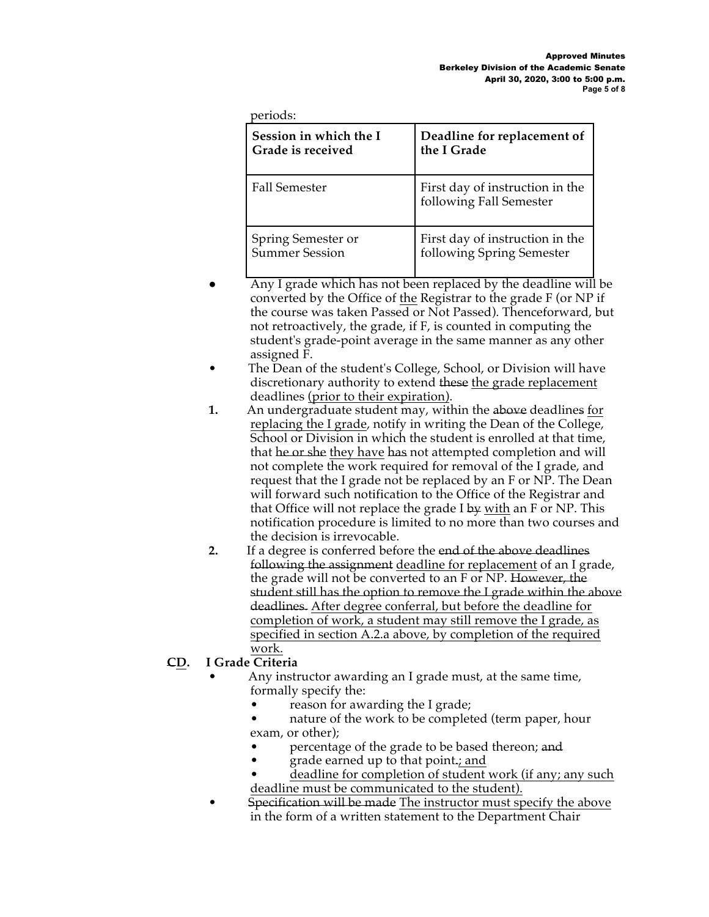| Session in which the I   | Deadline for replacement of                                |
|--------------------------|------------------------------------------------------------|
| <b>Grade is received</b> | the I Grade                                                |
| <b>Fall Semester</b>     | First day of instruction in the<br>following Fall Semester |
| Spring Semester or       | First day of instruction in the                            |
| <b>Summer Session</b>    | following Spring Semester                                  |

- Any I grade which has not been replaced by the deadline will be converted by the Office of the Registrar to the grade F (or NP if the course was taken Passed or Not Passed). Thenceforward, but not retroactively, the grade, if F, is counted in computing the student's grade-point average in the same manner as any other assigned F.
- The Dean of the student's College, School, or Division will have discretionary authority to extend these the grade replacement deadlines (prior to their expiration).
- **1.** An undergraduate student may, within the above deadlines for replacing the I grade, notify in writing the Dean of the College, School or Division in which the student is enrolled at that time, that he or she they have has not attempted completion and will not complete the work required for removal of the I grade, and request that the I grade not be replaced by an F or NP. The Dean will forward such notification to the Office of the Registrar and that Office will not replace the grade I by with an F or NP. This notification procedure is limited to no more than two courses and the decision is irrevocable.
- **2.** If a degree is conferred before the end of the above deadlines following the assignment deadline for replacement of an I grade, the grade will not be converted to an F or NP. However, the student still has the option to remove the I grade within the above deadlines. After degree conferral, but before the deadline for completion of work, a student may still remove the I grade, as specified in section A.2.a above, by completion of the required work.

# **CD. I Grade Criteria**

- Any instructor awarding an I grade must, at the same time, formally specify the:
	- reason for awarding the I grade;
	- nature of the work to be completed (term paper, hour exam, or other);
	- percentage of the grade to be based thereon; and
	- grade earned up to that point.; and
	- deadline for completion of student work (if any; any such deadline must be communicated to the student).
- Specification will be made The instructor must specify the above in the form of a written statement to the Department Chair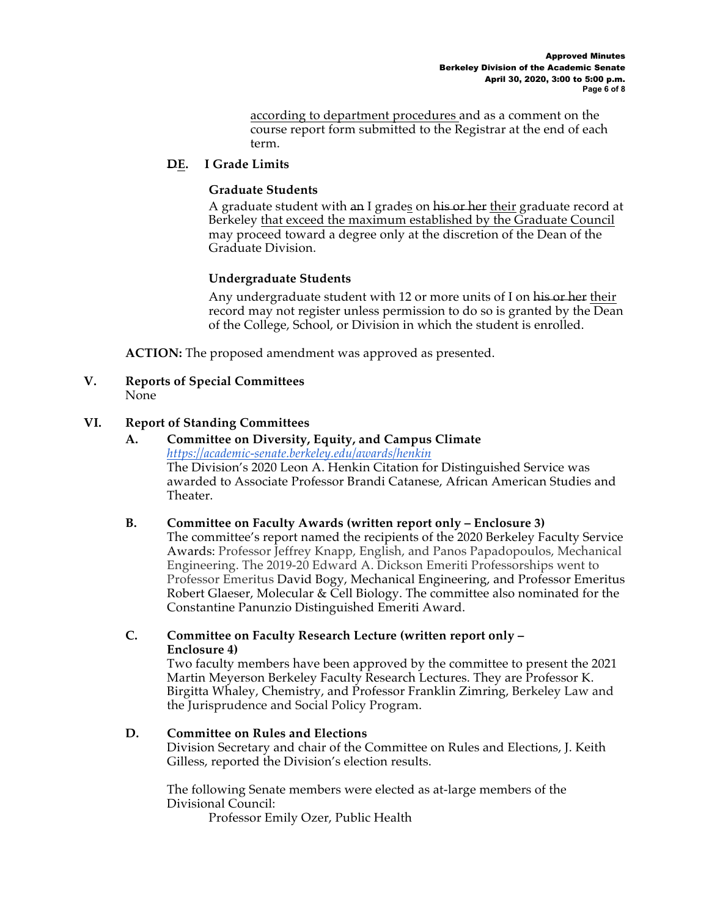according to department procedures and as a comment on the course report form submitted to the Registrar at the end of each term.

## **DE. I Grade Limits**

### **Graduate Students**

A graduate student with an I grades on his or her their graduate record at Berkeley that exceed the maximum established by the Graduate Council may proceed toward a degree only at the discretion of the Dean of the Graduate Division.

## **Undergraduate Students**

Any undergraduate student with 12 or more units of I on his or her their record may not register unless permission to do so is granted by the Dean of the College, School, or Division in which the student is enrolled.

**ACTION:** The proposed amendment was approved as presented.

**V. Reports of Special Committees** None

## **VI. Report of Standing Committees**

### **A. Committee on Diversity, Equity, and Campus Climate**  *https://academic-senate.berkeley.edu/awards/henkin* The Division's 2020 Leon A. Henkin Citation for Distinguished Service was awarded to Associate Professor Brandi Catanese, African American Studies and Theater.

### **B. Committee on Faculty Awards (written report only – Enclosure 3)**

The committee's report named the recipients of the 2020 Berkeley Faculty Service Awards: Professor Jeffrey Knapp, English, and Panos Papadopoulos, Mechanical Engineering. The 2019-20 Edward A. Dickson Emeriti Professorships went to Professor Emeritus David Bogy, Mechanical Engineering, and Professor Emeritus Robert Glaeser, Molecular & Cell Biology. The committee also nominated for the Constantine Panunzio Distinguished Emeriti Award.

# **C. Committee on Faculty Research Lecture (written report only – Enclosure 4)**

Two faculty members have been approved by the committee to present the 2021 Martin Meyerson Berkeley Faculty Research Lectures. They are Professor K. Birgitta Whaley, Chemistry, and Professor Franklin Zimring, Berkeley Law and the Jurisprudence and Social Policy Program.

### **D. Committee on Rules and Elections**

Division Secretary and chair of the Committee on Rules and Elections, J. Keith Gilless, reported the Division's election results.

The following Senate members were elected as at-large members of the Divisional Council:

Professor Emily Ozer, Public Health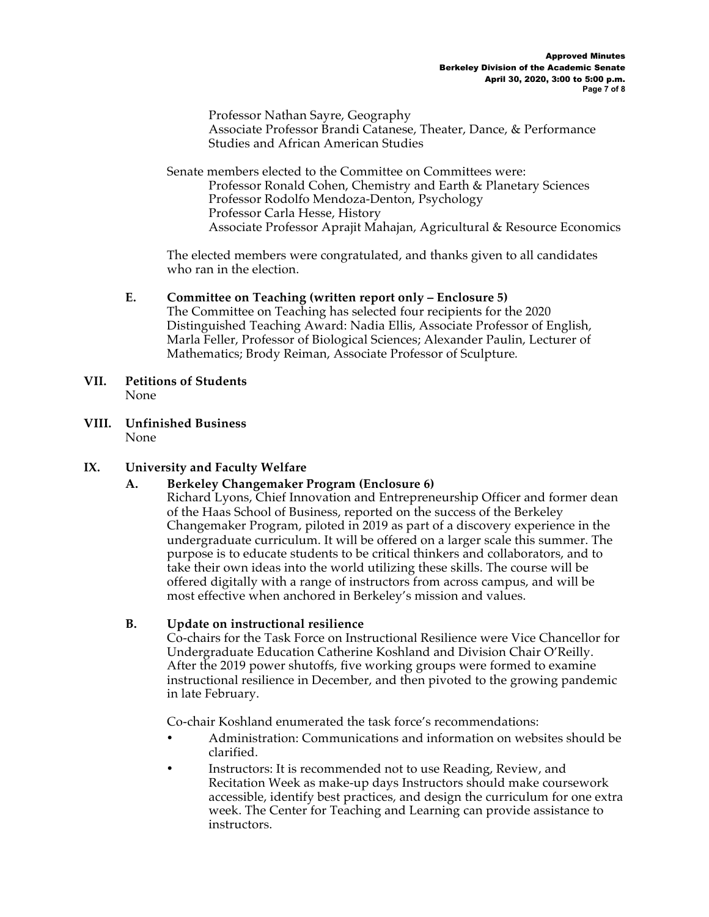Professor Nathan Sayre, Geography Associate Professor Brandi Catanese, Theater, Dance, & Performance Studies and African American Studies

Senate members elected to the Committee on Committees were: Professor Ronald Cohen, Chemistry and Earth & Planetary Sciences Professor Rodolfo Mendoza-Denton, Psychology Professor Carla Hesse, History Associate Professor Aprajit Mahajan, Agricultural & Resource Economics

The elected members were congratulated, and thanks given to all candidates who ran in the election.

## **E. Committee on Teaching (written report only – Enclosure 5)**

The Committee on Teaching has selected four recipients for the 2020 Distinguished Teaching Award: Nadia Ellis, Associate Professor of English, Marla Feller, Professor of Biological Sciences; Alexander Paulin, Lecturer of Mathematics; Brody Reiman, Associate Professor of Sculpture*.* 

- **VII. Petitions of Students**  None
- **VIII. Unfinished Business**  None

# **IX. University and Faculty Welfare**

# **A. Berkeley Changemaker Program (Enclosure 6)**

Richard Lyons, Chief Innovation and Entrepreneurship Officer and former dean of the Haas School of Business, reported on the success of the Berkeley Changemaker Program, piloted in 2019 as part of a discovery experience in the undergraduate curriculum. It will be offered on a larger scale this summer. The purpose is to educate students to be critical thinkers and collaborators, and to take their own ideas into the world utilizing these skills. The course will be offered digitally with a range of instructors from across campus, and will be most effective when anchored in Berkeley's mission and values.

### **B. Update on instructional resilience**

Co-chairs for the Task Force on Instructional Resilience were Vice Chancellor for Undergraduate Education Catherine Koshland and Division Chair O'Reilly. After the 2019 power shutoffs, five working groups were formed to examine instructional resilience in December, and then pivoted to the growing pandemic in late February.

Co-chair Koshland enumerated the task force's recommendations:

- Administration: Communications and information on websites should be clarified.
- Instructors: It is recommended not to use Reading, Review, and Recitation Week as make-up days Instructors should make coursework accessible, identify best practices, and design the curriculum for one extra week. The Center for Teaching and Learning can provide assistance to instructors.